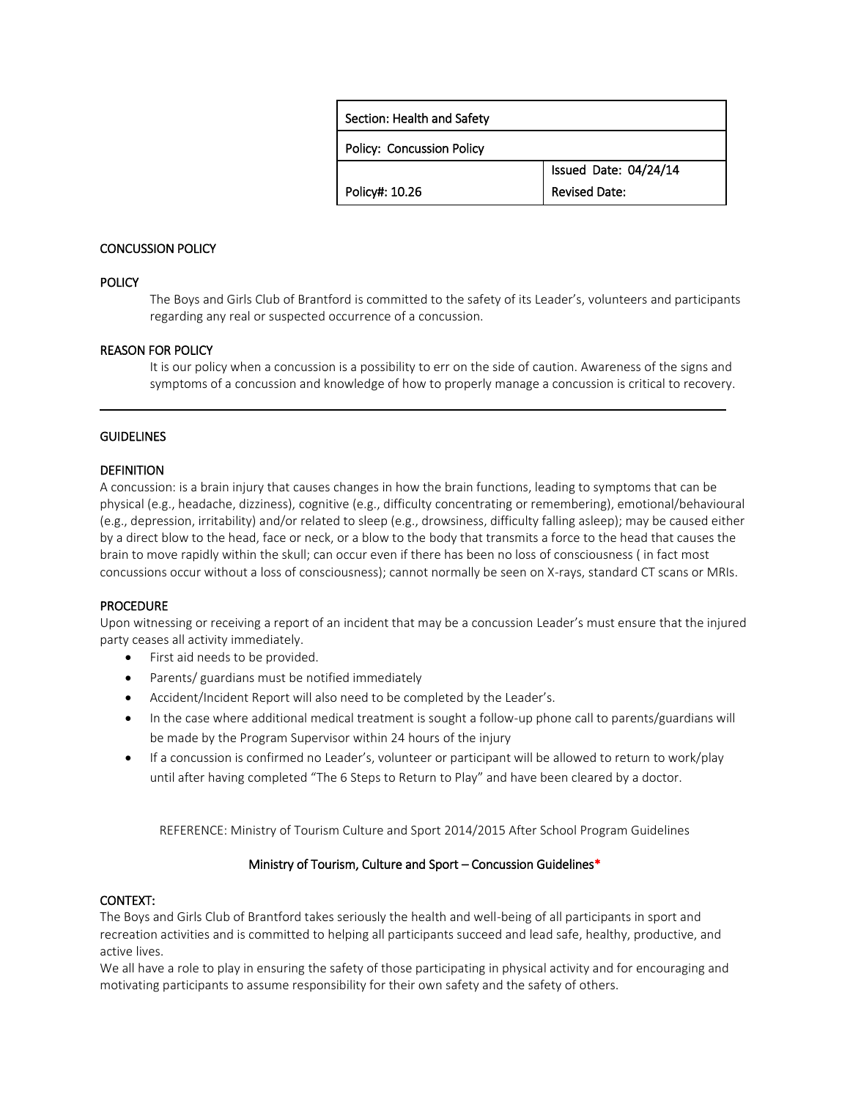| Section: Health and Safety       |                       |
|----------------------------------|-----------------------|
| <b>Policy: Concussion Policy</b> |                       |
|                                  | Issued Date: 04/24/14 |
| Policy#: 10.26                   | <b>Revised Date:</b>  |

# CONCUSSION POLICY

# **POLICY**

The Boys and Girls Club of Brantford is committed to the safety of its Leader's, volunteers and participants regarding any real or suspected occurrence of a concussion.

### REASON FOR POLICY

It is our policy when a concussion is a possibility to err on the side of caution. Awareness of the signs and symptoms of a concussion and knowledge of how to properly manage a concussion is critical to recovery.

### **GUIDELINES**

 l

### **DEFINITION**

A concussion: is a brain injury that causes changes in how the brain functions, leading to symptoms that can be physical (e.g., headache, dizziness), cognitive (e.g., difficulty concentrating or remembering), emotional/behavioural (e.g., depression, irritability) and/or related to sleep (e.g., drowsiness, difficulty falling asleep); may be caused either by a direct blow to the head, face or neck, or a blow to the body that transmits a force to the head that causes the brain to move rapidly within the skull; can occur even if there has been no loss of consciousness ( in fact most concussions occur without a loss of consciousness); cannot normally be seen on X-rays, standard CT scans or MRIs.

#### PROCEDURE

Upon witnessing or receiving a report of an incident that may be a concussion Leader's must ensure that the injured party ceases all activity immediately.

- First aid needs to be provided.
- Parents/ guardians must be notified immediately
- Accident/Incident Report will also need to be completed by the Leader's.
- In the case where additional medical treatment is sought a follow-up phone call to parents/guardians will be made by the Program Supervisor within 24 hours of the injury
- If a concussion is confirmed no Leader's, volunteer or participant will be allowed to return to work/play until after having completed "The 6 Steps to Return to Play" and have been cleared by a doctor.

REFERENCE: Ministry of Tourism Culture and Sport 2014/2015 After School Program Guidelines

# Ministry of Tourism, Culture and Sport – Concussion Guidelines\*

#### CONTEXT:

The Boys and Girls Club of Brantford takes seriously the health and well-being of all participants in sport and recreation activities and is committed to helping all participants succeed and lead safe, healthy, productive, and active lives.

We all have a role to play in ensuring the safety of those participating in physical activity and for encouraging and motivating participants to assume responsibility for their own safety and the safety of others.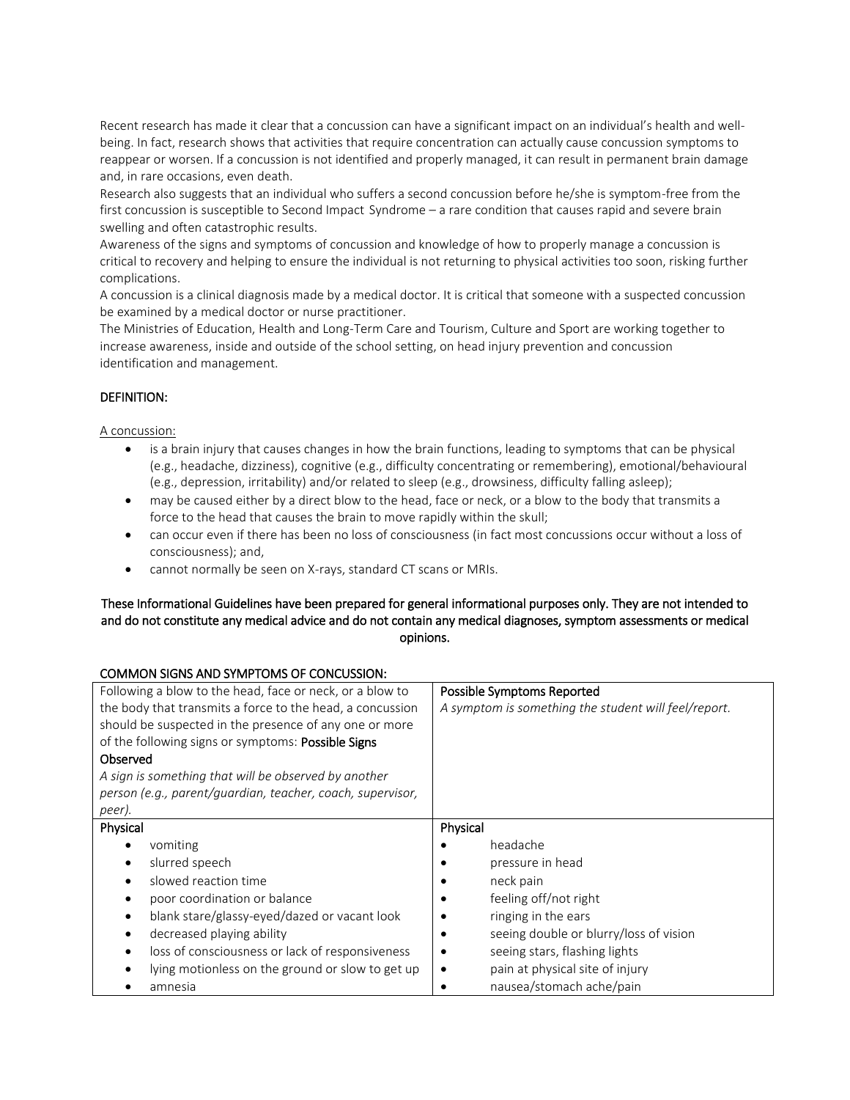Recent research has made it clear that a concussion can have a significant impact on an individual's health and wellbeing. In fact, research shows that activities that require concentration can actually cause concussion symptoms to reappear or worsen. If a concussion is not identified and properly managed, it can result in permanent brain damage and, in rare occasions, even death.

Research also suggests that an individual who suffers a second concussion before he/she is symptom-free from the first concussion is susceptible to Second Impact Syndrome – a rare condition that causes rapid and severe brain swelling and often catastrophic results.

Awareness of the signs and symptoms of concussion and knowledge of how to properly manage a concussion is critical to recovery and helping to ensure the individual is not returning to physical activities too soon, risking further complications.

A concussion is a clinical diagnosis made by a medical doctor. It is critical that someone with a suspected concussion be examined by a medical doctor or nurse practitioner.

The Ministries of Education, Health and Long-Term Care and Tourism, Culture and Sport are working together to increase awareness, inside and outside of the school setting, on head injury prevention and concussion identification and management.

# DEFINITION:

### A concussion:

- is a brain injury that causes changes in how the brain functions, leading to symptoms that can be physical (e.g., headache, dizziness), cognitive (e.g., difficulty concentrating or remembering), emotional/behavioural (e.g., depression, irritability) and/or related to sleep (e.g., drowsiness, difficulty falling asleep);
- may be caused either by a direct blow to the head, face or neck, or a blow to the body that transmits a force to the head that causes the brain to move rapidly within the skull;
- can occur even if there has been no loss of consciousness (in fact most concussions occur without a loss of consciousness); and,
- cannot normally be seen on X-rays, standard CT scans or MRIs.

# These Informational Guidelines have been prepared for general informational purposes only. They are not intended to and do not constitute any medical advice and do not contain any medical diagnoses, symptom assessments or medical opinions.

| <b>COMMON SIGNS AND SYMPTOMS OF CONCUSSION:</b>            |                                                      |
|------------------------------------------------------------|------------------------------------------------------|
| Following a blow to the head, face or neck, or a blow to   | Possible Symptoms Reported                           |
| the body that transmits a force to the head, a concussion  | A symptom is something the student will feel/report. |
| should be suspected in the presence of any one or more     |                                                      |
| of the following signs or symptoms: <b>Possible Signs</b>  |                                                      |
| Observed                                                   |                                                      |
| A sign is something that will be observed by another       |                                                      |
| person (e.g., parent/guardian, teacher, coach, supervisor, |                                                      |
| peer).                                                     |                                                      |
| Physical                                                   | Physical                                             |
| vomiting                                                   | headache                                             |
| slurred speech                                             | pressure in head                                     |
| slowed reaction time                                       | neck pain                                            |
| poor coordination or balance                               | feeling off/not right                                |
| blank stare/glassy-eyed/dazed or vacant look               | ringing in the ears                                  |
| decreased playing ability                                  | seeing double or blurry/loss of vision               |
| loss of consciousness or lack of responsiveness            | seeing stars, flashing lights<br>٠                   |
| lying motionless on the ground or slow to get up           | pain at physical site of injury<br>٠                 |
| amnesia                                                    | nausea/stomach ache/pain<br>٠                        |
|                                                            |                                                      |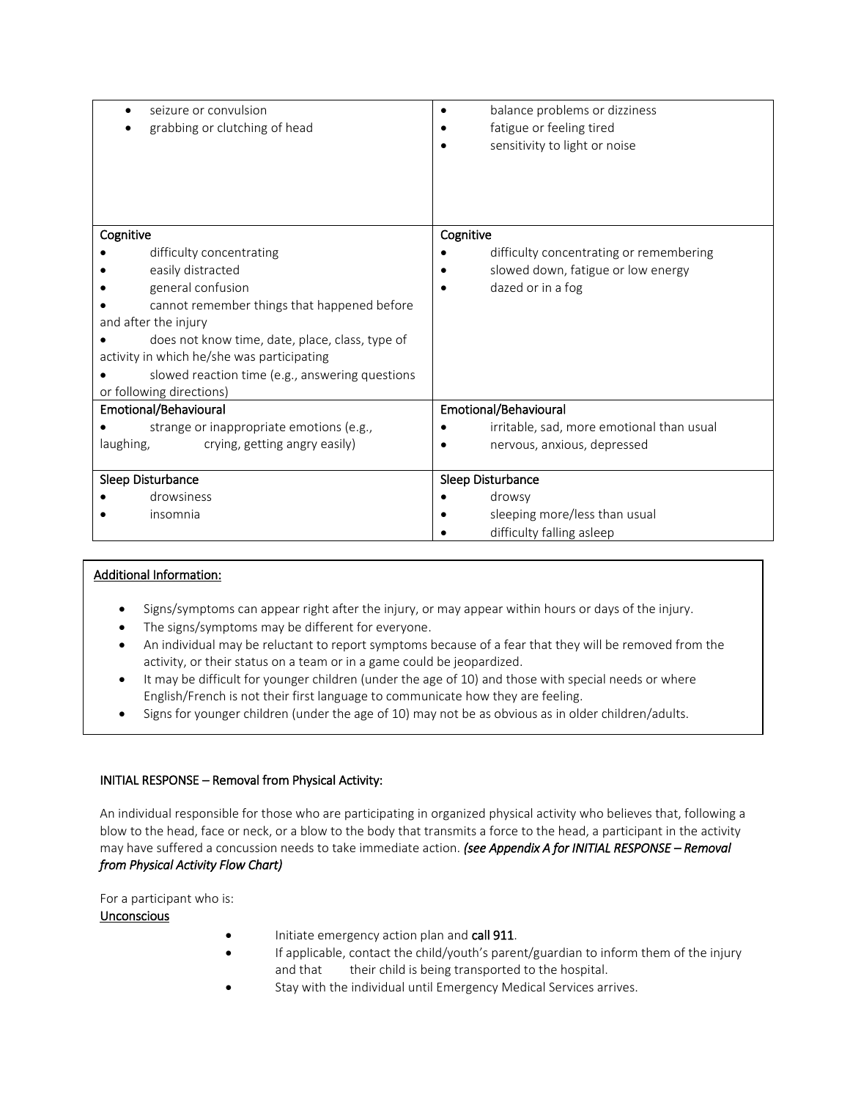| seizure or convulsion<br>grabbing or clutching of head                                        | balance problems or dizziness<br>fatigue or feeling tired<br>sensitivity to light or noise |
|-----------------------------------------------------------------------------------------------|--------------------------------------------------------------------------------------------|
| Cognitive                                                                                     | Cognitive                                                                                  |
| difficulty concentrating                                                                      | difficulty concentrating or remembering                                                    |
| easily distracted                                                                             | slowed down, fatigue or low energy                                                         |
| general confusion                                                                             | dazed or in a fog                                                                          |
| cannot remember things that happened before                                                   |                                                                                            |
| and after the injury                                                                          |                                                                                            |
| does not know time, date, place, class, type of<br>activity in which he/she was participating |                                                                                            |
| slowed reaction time (e.g., answering questions                                               |                                                                                            |
| or following directions)                                                                      |                                                                                            |
| Emotional/Behavioural                                                                         | Emotional/Behavioural                                                                      |
| strange or inappropriate emotions (e.g.,                                                      | irritable, sad, more emotional than usual                                                  |
| laughing,<br>crying, getting angry easily)                                                    | nervous, anxious, depressed                                                                |
|                                                                                               |                                                                                            |
| Sleep Disturbance                                                                             | Sleep Disturbance                                                                          |
| drowsiness                                                                                    | drowsy                                                                                     |
| insomnia                                                                                      | sleeping more/less than usual                                                              |
|                                                                                               | difficulty falling asleep                                                                  |

# Additional Information:

- Signs/symptoms can appear right after the injury, or may appear within hours or days of the injury.
- The signs/symptoms may be different for everyone.
- An individual may be reluctant to report symptoms because of a fear that they will be removed from the activity, or their status on a team or in a game could be jeopardized.
- It may be difficult for younger children (under the age of 10) and those with special needs or where English/French is not their first language to communicate how they are feeling.
- Signs for younger children (under the age of 10) may not be as obvious as in older children/adults.

# INITIAL RESPONSE – Removal from Physical Activity:

An individual responsible for those who are participating in organized physical activity who believes that, following a blow to the head, face or neck, or a blow to the body that transmits a force to the head, a participant in the activity may have suffered a concussion needs to take immediate action. *(see Appendix A for INITIAL RESPONSE – Removal from Physical Activity Flow Chart)*

For a participant who is:

# Unconscious

- Initiate emergency action plan and call 911.
- If applicable, contact the child/youth's parent/guardian to inform them of the injury and that their child is being transported to the hospital.
- Stay with the individual until Emergency Medical Services arrives.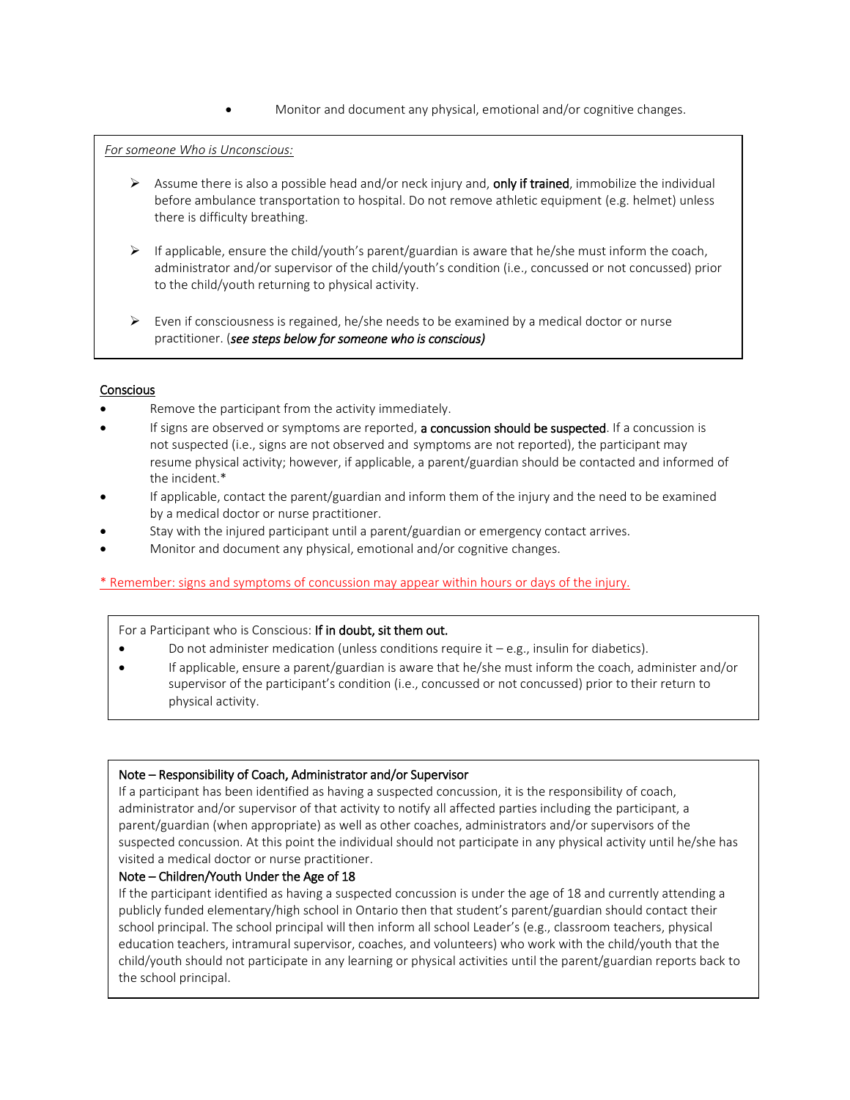Monitor and document any physical, emotional and/or cognitive changes.

# *For someone Who is Unconscious:*

- $\triangleright$  Assume there is also a possible head and/or neck injury and, only if trained, immobilize the individual before ambulance transportation to hospital. Do not remove athletic equipment (e.g. helmet) unless there is difficulty breathing.
- $\triangleright$  If applicable, ensure the child/youth's parent/guardian is aware that he/she must inform the coach, administrator and/or supervisor of the child/youth's condition (i.e., concussed or not concussed) prior to the child/youth returning to physical activity.
- $\triangleright$  Even if consciousness is regained, he/she needs to be examined by a medical doctor or nurse practitioner. (*see steps below for someone who is conscious)*

### Conscious

- Remove the participant from the activity immediately.
- If signs are observed or symptoms are reported, a concussion should be suspected. If a concussion is not suspected (i.e., signs are not observed and symptoms are not reported), the participant may resume physical activity; however, if applicable, a parent/guardian should be contacted and informed of the incident.\*
- If applicable, contact the parent/guardian and inform them of the injury and the need to be examined by a medical doctor or nurse practitioner.
- Stay with the injured participant until a parent/guardian or emergency contact arrives.
- Monitor and document any physical, emotional and/or cognitive changes.

# \* Remember: signs and symptoms of concussion may appear within hours or days of the injury.

#### For a Participant who is Conscious: If in doubt, sit them out.

- Do not administer medication (unless conditions require it  $-e.g.,$  insulin for diabetics).
- If applicable, ensure a parent/guardian is aware that he/she must inform the coach, administer and/or supervisor of the participant's condition (i.e., concussed or not concussed) prior to their return to physical activity.

#### Note – Responsibility of Coach, Administrator and/or Supervisor

If a participant has been identified as having a suspected concussion, it is the responsibility of coach, administrator and/or supervisor of that activity to notify all affected parties including the participant, a parent/guardian (when appropriate) as well as other coaches, administrators and/or supervisors of the suspected concussion. At this point the individual should not participate in any physical activity until he/she has visited a medical doctor or nurse practitioner.

# Note – Children/Youth Under the Age of 18

If the participant identified as having a suspected concussion is under the age of 18 and currently attending a publicly funded elementary/high school in Ontario then that student's parent/guardian should contact their school principal. The school principal will then inform all school Leader's (e.g., classroom teachers, physical education teachers, intramural supervisor, coaches, and volunteers) who work with the child/youth that the child/youth should not participate in any learning or physical activities until the parent/guardian reports back to the school principal.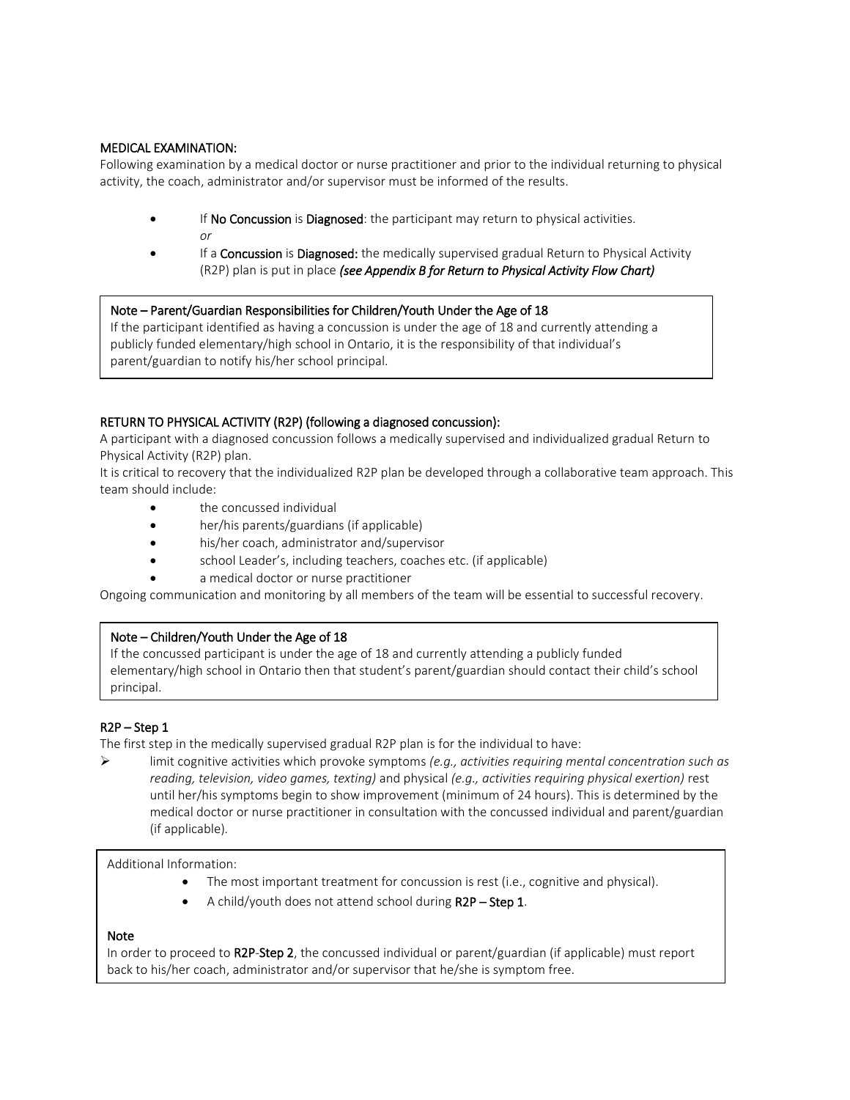# MEDICAL EXAMINATION:

Following examination by a medical doctor or nurse practitioner and prior to the individual returning to physical activity, the coach, administrator and/or supervisor must be informed of the results.

- **If No Concussion is Diagnosed:** the participant may return to physical activities.  *or*
- If a **Concussion** is **Diagnosed:** the medically supervised gradual Return to Physical Activity (R2P) plan is put in place *(see Appendix B for Return to Physical Activity Flow Chart)*

# Note – Parent/Guardian Responsibilities for Children/Youth Under the Age of 18

If the participant identified as having a concussion is under the age of 18 and currently attending a publicly funded elementary/high school in Ontario, it is the responsibility of that individual's parent/guardian to notify his/her school principal.

# RETURN TO PHYSICAL ACTIVITY (R2P) (following a diagnosed concussion):

A participant with a diagnosed concussion follows a medically supervised and individualized gradual Return to Physical Activity (R2P) plan.

It is critical to recovery that the individualized R2P plan be developed through a collaborative team approach. This team should include:

- the concussed individual
- her/his parents/guardians (if applicable)
- his/her coach, administrator and/supervisor
- school Leader's, including teachers, coaches etc. (if applicable)
- a medical doctor or nurse practitioner

Ongoing communication and monitoring by all members of the team will be essential to successful recovery.

# Note – Children/Youth Under the Age of 18

If the concussed participant is under the age of 18 and currently attending a publicly funded elementary/high school in Ontario then that student's parent/guardian should contact their child's school principal.

# R2P – Step 1

The first step in the medically supervised gradual R2P plan is for the individual to have:

 limit cognitive activities which provoke symptoms *(e.g., activities requiring mental concentration such as reading, television, video games, texting)* and physical *(e.g., activities requiring physical exertion)* rest until her/his symptoms begin to show improvement (minimum of 24 hours). This is determined by the medical doctor or nurse practitioner in consultation with the concussed individual and parent/guardian (if applicable)*.* 

Additional Information:

- The most important treatment for concussion is rest (i.e., cognitive and physical).
- A child/youth does not attend school during R2P Step 1.

# Note

In order to proceed to R2P-Step 2, the concussed individual or parent/guardian (if applicable) must report back to his/her coach, administrator and/or supervisor that he/she is symptom free.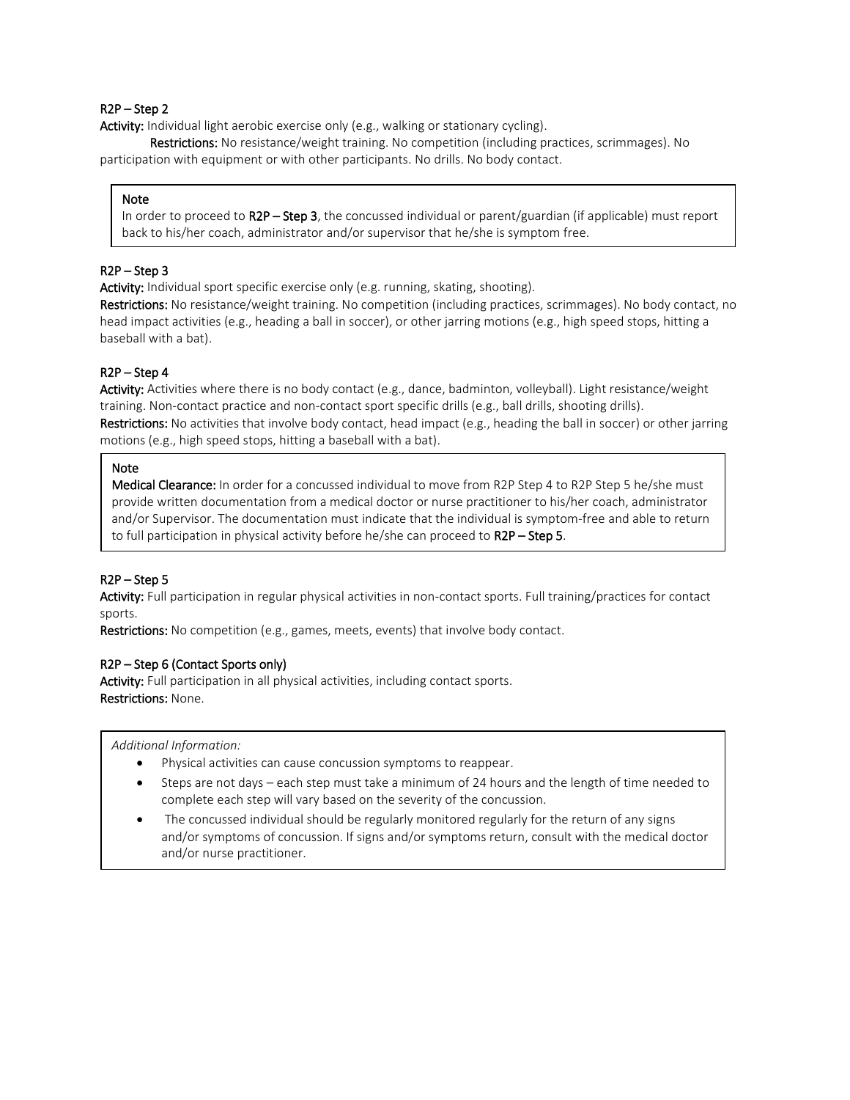# R2P – Step 2

Activity: Individual light aerobic exercise only (e.g., walking or stationary cycling).

Restrictions: No resistance/weight training. No competition (including practices, scrimmages). No participation with equipment or with other participants. No drills. No body contact.

#### **Note**

In order to proceed to R2P – Step 3, the concussed individual or parent/guardian (if applicable) must report back to his/her coach, administrator and/or supervisor that he/she is symptom free.

# R2P – Step 3

Activity: Individual sport specific exercise only (e.g. running, skating, shooting).

Restrictions: No resistance/weight training. No competition (including practices, scrimmages). No body contact, no head impact activities (e.g., heading a ball in soccer), or other jarring motions (e.g., high speed stops, hitting a baseball with a bat).

# R2P – Step 4

Activity: Activities where there is no body contact (e.g., dance, badminton, volleyball). Light resistance/weight training. Non-contact practice and non-contact sport specific drills (e.g., ball drills, shooting drills). Restrictions: No activities that involve body contact, head impact (e.g., heading the ball in soccer) or other jarring motions (e.g., high speed stops, hitting a baseball with a bat).

#### Note

Medical Clearance: In order for a concussed individual to move from R2P Step 4 to R2P Step 5 he/she must provide written documentation from a medical doctor or nurse practitioner to his/her coach, administrator and/or Supervisor. The documentation must indicate that the individual is symptom-free and able to return to full participation in physical activity before he/she can proceed to R2P – Step 5.

# R2P – Step 5

Activity: Full participation in regular physical activities in non-contact sports. Full training/practices for contact sports.

Restrictions: No competition (e.g., games, meets, events) that involve body contact.

#### R2P – Step 6 (Contact Sports only)

Activity: Full participation in all physical activities, including contact sports. Restrictions: None.

*Additional Information:* 

- Physical activities can cause concussion symptoms to reappear.
- Steps are not days each step must take a minimum of 24 hours and the length of time needed to complete each step will vary based on the severity of the concussion.
- and/or nurse practitioner. The concussed individual should be regularly monitored regularly for the return of any signs and/or symptoms of concussion. If signs and/or symptoms return, consult with the medical doctor

ֺ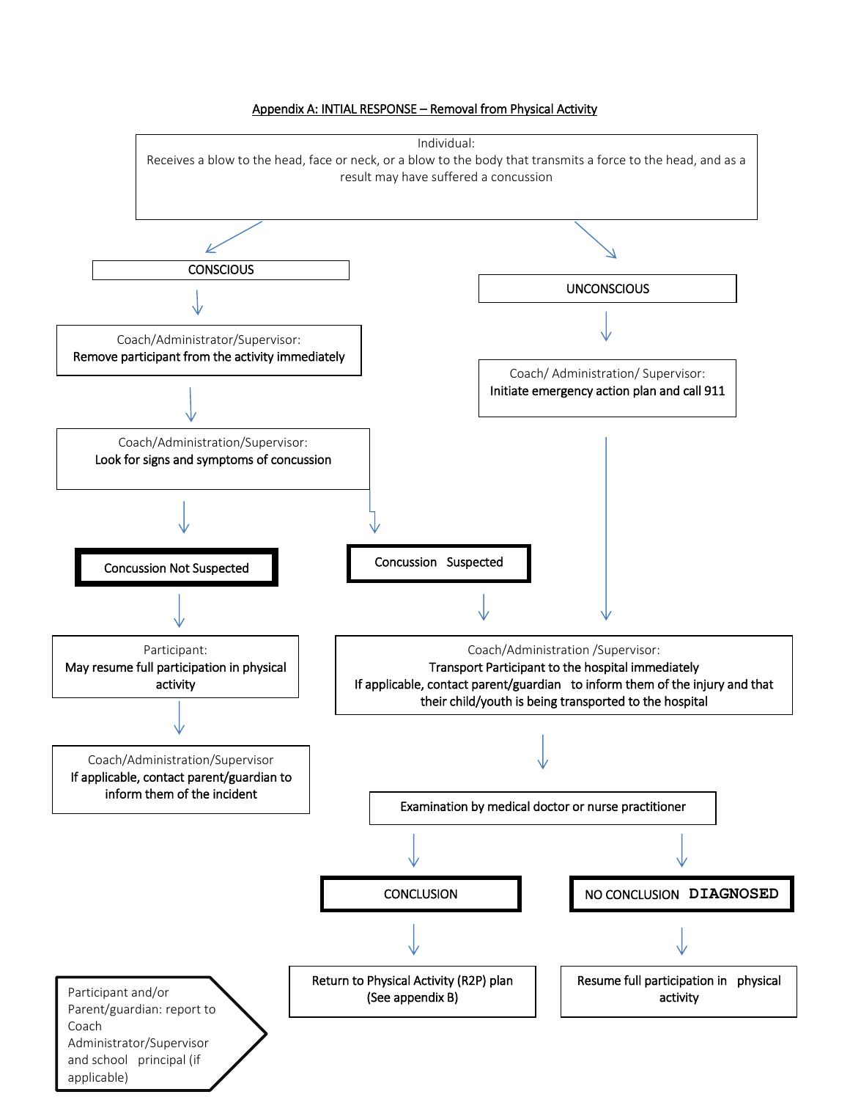

applicable)

#### Appendix A: INTIAL RESPONSE – Removal from Physical Activity